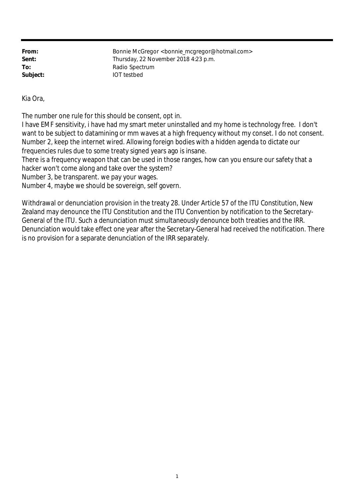**From:** Bonnie McGregor <book and mcgregor@hotmail.com> Sent: Sent: Thursday, 22 November 2018 4:23 p.m. To: Radio Spectrum **Subject:** IOT testbed

Kia Ora,

The number one rule for this should be consent, opt in.

I have EMF sensitivity, i have had my smart meter uninstalled and my home is technology free. I don't want to be subject to datamining or mm waves at a high frequency without my conset. I do not consent. Number 2, keep the internet wired. Allowing foreign bodies with a hidden agenda to dictate our frequencies rules due to some treaty signed years ago is insane.

There is a frequency weapon that can be used in those ranges, how can you ensure our safety that a hacker won't come along and take over the system?

Number 3, be transparent. we pay your wages.

Number 4, maybe we should be sovereign, self govern.

Withdrawal or denunciation provision in the treaty 28. Under Article 57 of the ITU Constitution, New Zealand may denounce the ITU Constitution and the ITU Convention by notification to the Secretary-General of the ITU. Such a denunciation must simultaneously denounce both treaties and the IRR. Denunciation would take effect one year after the Secretary-General had received the notification. There is no provision for a separate denunciation of the IRR separately.